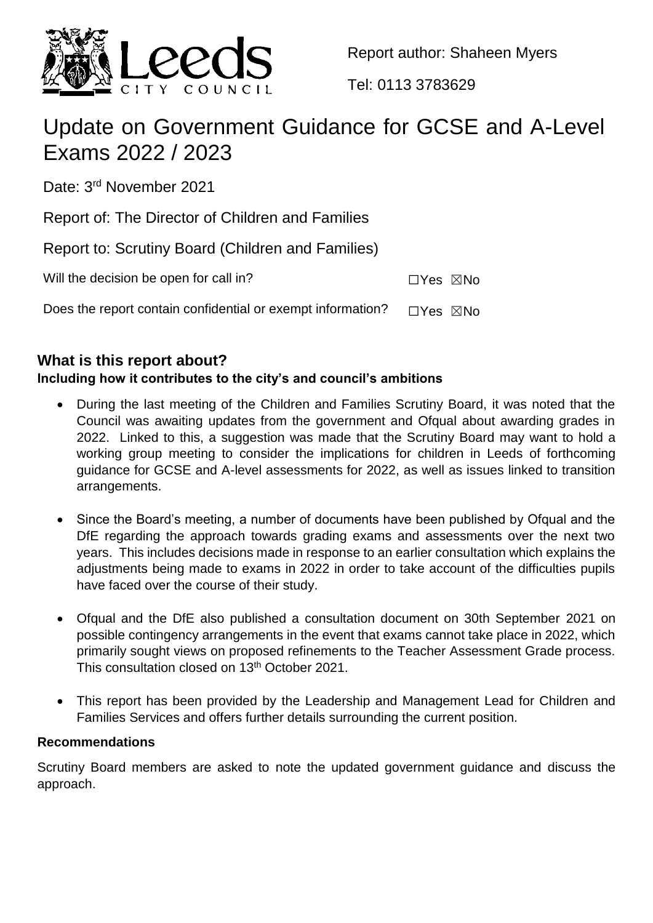

Report author: Shaheen Myers

Tel: 0113 3783629

# Update on Government Guidance for GCSE and A-Level Exams 2022 / 2023

Date: 3<sup>rd</sup> November 2021

Report of: The Director of Children and Families

Report to: Scrutiny Board (Children and Families)

Will the decision be open for call in? ☐Yes ☒No

Does the report contain confidential or exempt information?  $\Box$ Yes  $\boxtimes$ No

## **What is this report about?**

## **Including how it contributes to the city's and council's ambitions**

- During the last meeting of the Children and Families Scrutiny Board, it was noted that the Council was awaiting updates from the government and Ofqual about awarding grades in 2022. Linked to this, a suggestion was made that the Scrutiny Board may want to hold a working group meeting to consider the implications for children in Leeds of forthcoming guidance for GCSE and A-level assessments for 2022, as well as issues linked to transition arrangements.
- Since the Board's meeting, a number of documents have been published by Ofqual and the DfE regarding the approach towards grading exams and assessments over the next two years. This includes decisions made in response to an earlier consultation which explains the adjustments being made to exams in 2022 in order to take account of the difficulties pupils have faced over the course of their study.
- Ofqual and the DfE also published a consultation document on 30th September 2021 on possible contingency arrangements in the event that exams cannot take place in 2022, which primarily sought views on proposed refinements to the Teacher Assessment Grade process. This consultation closed on 13<sup>th</sup> October 2021.
- This report has been provided by the Leadership and Management Lead for Children and Families Services and offers further details surrounding the current position.

### **Recommendations**

Scrutiny Board members are asked to note the updated government guidance and discuss the approach.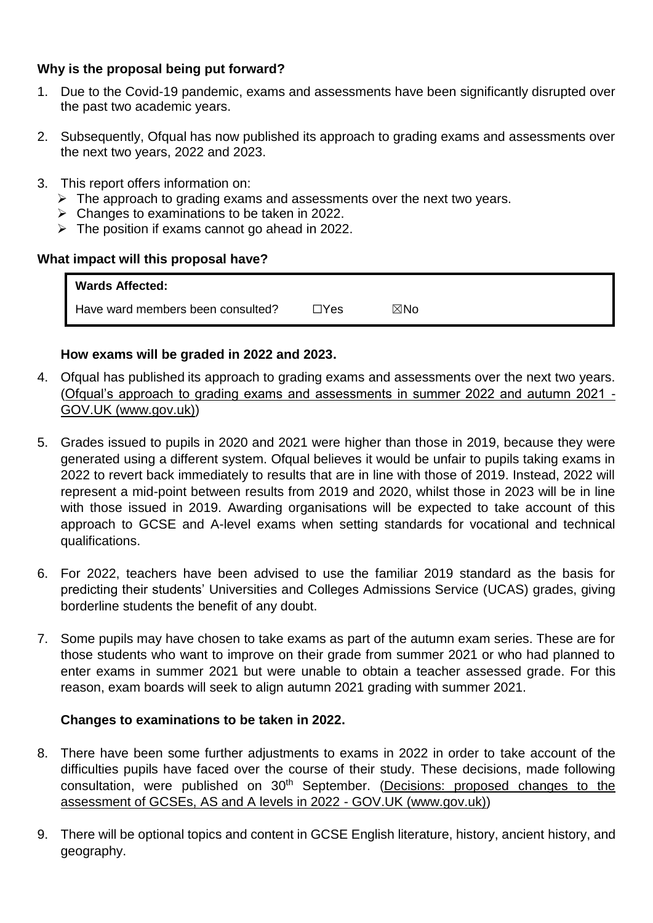### **Why is the proposal being put forward?**

- 1. Due to the Covid-19 pandemic, exams and assessments have been significantly disrupted over the past two academic years.
- 2. Subsequently, Ofqual has now published its approach to grading exams and assessments over the next two years, 2022 and 2023.
- 3. This report offers information on:
	- $\triangleright$  The approach to grading exams and assessments over the next two years.
	- $\triangleright$  Changes to examinations to be taken in 2022.
	- $\triangleright$  The position if exams cannot go ahead in 2022.

#### **What impact will this proposal have?**

| <b>Wards Affected:</b>            |               |                |  |
|-----------------------------------|---------------|----------------|--|
| Have ward members been consulted? | $\exists$ Yes | $\boxtimes$ No |  |

### **How exams will be graded in 2022 and 2023.**

- 4. Ofqual has published its approach to grading exams and assessments over the next two years. [\(Ofqual's approach to grading exams and assessments in summer 2022 and autumn 2021 -](https://www.gov.uk/government/speeches/ofquals-approach-to-grading-exams-and-assessments-in-summer-2022-and-autumn-2021?utm_medium=email&utm_campaign=govuk-notifications&utm_source=b55a209b-bf39-42ef-866b-4721b4affd77&utm_content=immediately) [GOV.UK \(www.gov.uk\)\)](https://www.gov.uk/government/speeches/ofquals-approach-to-grading-exams-and-assessments-in-summer-2022-and-autumn-2021?utm_medium=email&utm_campaign=govuk-notifications&utm_source=b55a209b-bf39-42ef-866b-4721b4affd77&utm_content=immediately)
- 5. Grades issued to pupils in 2020 and 2021 were higher than those in 2019, because they were generated using a different system. Ofqual believes it would be unfair to pupils taking exams in 2022 to revert back immediately to results that are in line with those of 2019. Instead, 2022 will represent a mid-point between results from 2019 and 2020, whilst those in 2023 will be in line with those issued in 2019. Awarding organisations will be expected to take account of this approach to GCSE and A-level exams when setting standards for vocational and technical qualifications.
- 6. For 2022, teachers have been advised to use the familiar 2019 standard as the basis for predicting their students' Universities and Colleges Admissions Service (UCAS) grades, giving borderline students the benefit of any doubt.
- 7. Some pupils may have chosen to take exams as part of the autumn exam series. These are for those students who want to improve on their grade from summer 2021 or who had planned to enter exams in summer 2021 but were unable to obtain a teacher assessed grade. For this reason, exam boards will seek to align autumn 2021 grading with summer 2021.

### **Changes to examinations to be taken in 2022.**

- 8. There have been some further adjustments to exams in 2022 in order to take account of the difficulties pupils have faced over the course of their study. These decisions, made following consultation, were published on 30<sup>th</sup> September. (Decisions: proposed changes to the [assessment of GCSEs, AS and A levels in 2022 -](https://www.gov.uk/government/consultations/proposed-changes-to-the-assessment-of-gcses-as-and-a-levels-in-2022/outcome/decisions-proposed-changes-to-the-assessment-of-gcses-as-and-a-levels-in-2022) GOV.UK (www.gov.uk))
- 9. There will be optional topics and content in GCSE English literature, history, ancient history, and geography.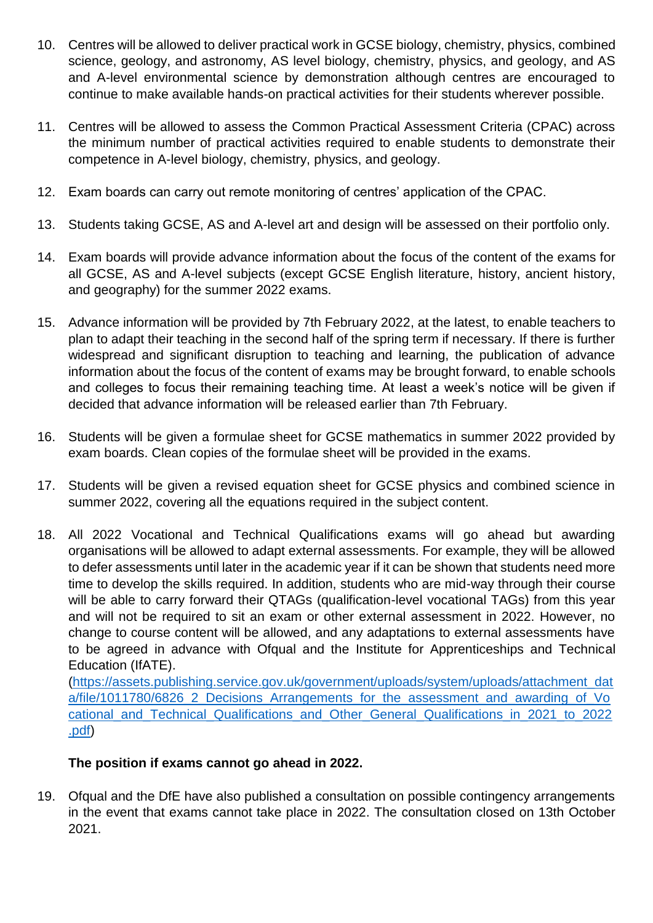- 10. Centres will be allowed to deliver practical work in GCSE biology, chemistry, physics, combined science, geology, and astronomy, AS level biology, chemistry, physics, and geology, and AS and A-level environmental science by demonstration although centres are encouraged to continue to make available hands-on practical activities for their students wherever possible.
- 11. Centres will be allowed to assess the Common Practical Assessment Criteria (CPAC) across the minimum number of practical activities required to enable students to demonstrate their competence in A-level biology, chemistry, physics, and geology.
- 12. Exam boards can carry out remote monitoring of centres' application of the CPAC.
- 13. Students taking GCSE, AS and A-level art and design will be assessed on their portfolio only.
- 14. Exam boards will provide advance information about the focus of the content of the exams for all GCSE, AS and A-level subjects (except GCSE English literature, history, ancient history, and geography) for the summer 2022 exams.
- 15. Advance information will be provided by 7th February 2022, at the latest, to enable teachers to plan to adapt their teaching in the second half of the spring term if necessary. If there is further widespread and significant disruption to teaching and learning, the publication of advance information about the focus of the content of exams may be brought forward, to enable schools and colleges to focus their remaining teaching time. At least a week's notice will be given if decided that advance information will be released earlier than 7th February.
- 16. Students will be given a formulae sheet for GCSE mathematics in summer 2022 provided by exam boards. Clean copies of the formulae sheet will be provided in the exams.
- 17. Students will be given a revised equation sheet for GCSE physics and combined science in summer 2022, covering all the equations required in the subject content.
- 18. All 2022 Vocational and Technical Qualifications exams will go ahead but awarding organisations will be allowed to adapt external assessments. For example, they will be allowed to defer assessments until later in the academic year if it can be shown that students need more time to develop the skills required. In addition, students who are mid-way through their course will be able to carry forward their QTAGs (qualification-level vocational TAGs) from this year and will not be required to sit an exam or other external assessment in 2022. However, no change to course content will be allowed, and any adaptations to external assessments have to be agreed in advance with Ofqual and the Institute for Apprenticeships and Technical Education (IfATE).

[\(https://assets.publishing.service.gov.uk/government/uploads/system/uploads/attachment\\_dat](https://assets.publishing.service.gov.uk/government/uploads/system/uploads/attachment_data/file/1011780/6826_2_Decisions_Arrangements_for_the_assessment_and_awarding_of_Vocational_and_Technical_Qualifications_and_Other_General_Qualifications_in_2021_to_2022.pdf) a/file/1011780/6826 2 Decisions Arrangements for the assessment and awarding of Vo [cational\\_and\\_Technical\\_Qualifications\\_and\\_Other\\_General\\_Qualifications\\_in\\_2021\\_to\\_2022](https://assets.publishing.service.gov.uk/government/uploads/system/uploads/attachment_data/file/1011780/6826_2_Decisions_Arrangements_for_the_assessment_and_awarding_of_Vocational_and_Technical_Qualifications_and_Other_General_Qualifications_in_2021_to_2022.pdf) [.pdf\)](https://assets.publishing.service.gov.uk/government/uploads/system/uploads/attachment_data/file/1011780/6826_2_Decisions_Arrangements_for_the_assessment_and_awarding_of_Vocational_and_Technical_Qualifications_and_Other_General_Qualifications_in_2021_to_2022.pdf)

### **The position if exams cannot go ahead in 2022.**

19. Ofqual and the DfE have also published a consultation on possible contingency arrangements in the event that exams cannot take place in 2022. The consultation closed on 13th October 2021.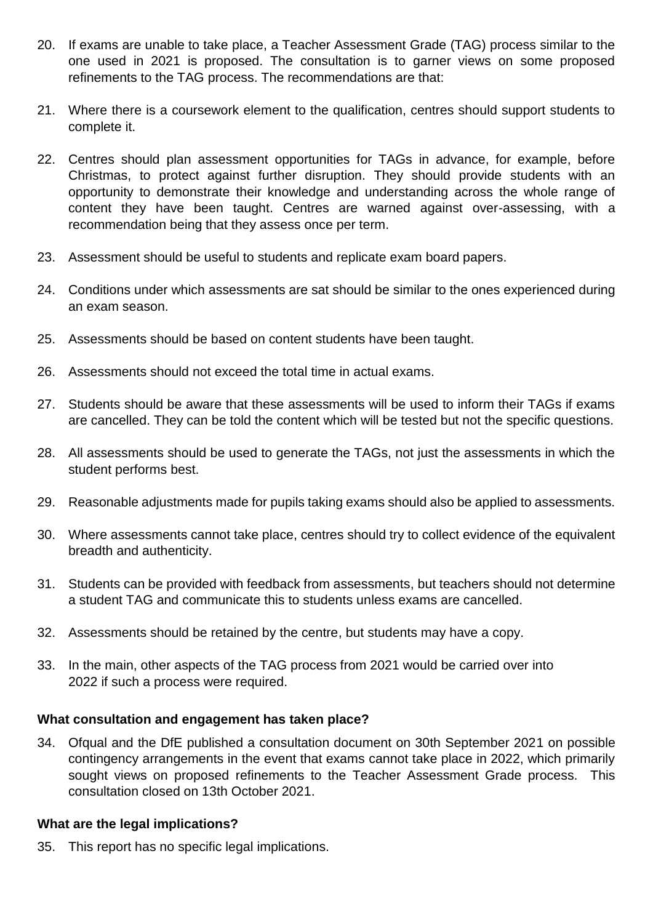- 20. If exams are unable to take place, a Teacher Assessment Grade (TAG) process similar to the one used in 2021 is proposed. The consultation is to garner views on some proposed refinements to the TAG process. The recommendations are that:
- 21. Where there is a coursework element to the qualification, centres should support students to complete it.
- 22. Centres should plan assessment opportunities for TAGs in advance, for example, before Christmas, to protect against further disruption. They should provide students with an opportunity to demonstrate their knowledge and understanding across the whole range of content they have been taught. Centres are warned against over-assessing, with a recommendation being that they assess once per term.
- 23. Assessment should be useful to students and replicate exam board papers.
- 24. Conditions under which assessments are sat should be similar to the ones experienced during an exam season.
- 25. Assessments should be based on content students have been taught.
- 26. Assessments should not exceed the total time in actual exams.
- 27. Students should be aware that these assessments will be used to inform their TAGs if exams are cancelled. They can be told the content which will be tested but not the specific questions.
- 28. All assessments should be used to generate the TAGs, not just the assessments in which the student performs best.
- 29. Reasonable adjustments made for pupils taking exams should also be applied to assessments.
- 30. Where assessments cannot take place, centres should try to collect evidence of the equivalent breadth and authenticity.
- 31. Students can be provided with feedback from assessments, but teachers should not determine a student TAG and communicate this to students unless exams are cancelled.
- 32. Assessments should be retained by the centre, but students may have a copy.
- 33. In the main, other aspects of the TAG process from 2021 would be carried over into 2022 if such a process were required.

#### **What consultation and engagement has taken place?**

34. Ofqual and the DfE published a consultation document on 30th September 2021 on possible contingency arrangements in the event that exams cannot take place in 2022, which primarily sought views on proposed refinements to the Teacher Assessment Grade process. This consultation closed on 13th October 2021.

#### **What are the legal implications?**

35. This report has no specific legal implications.